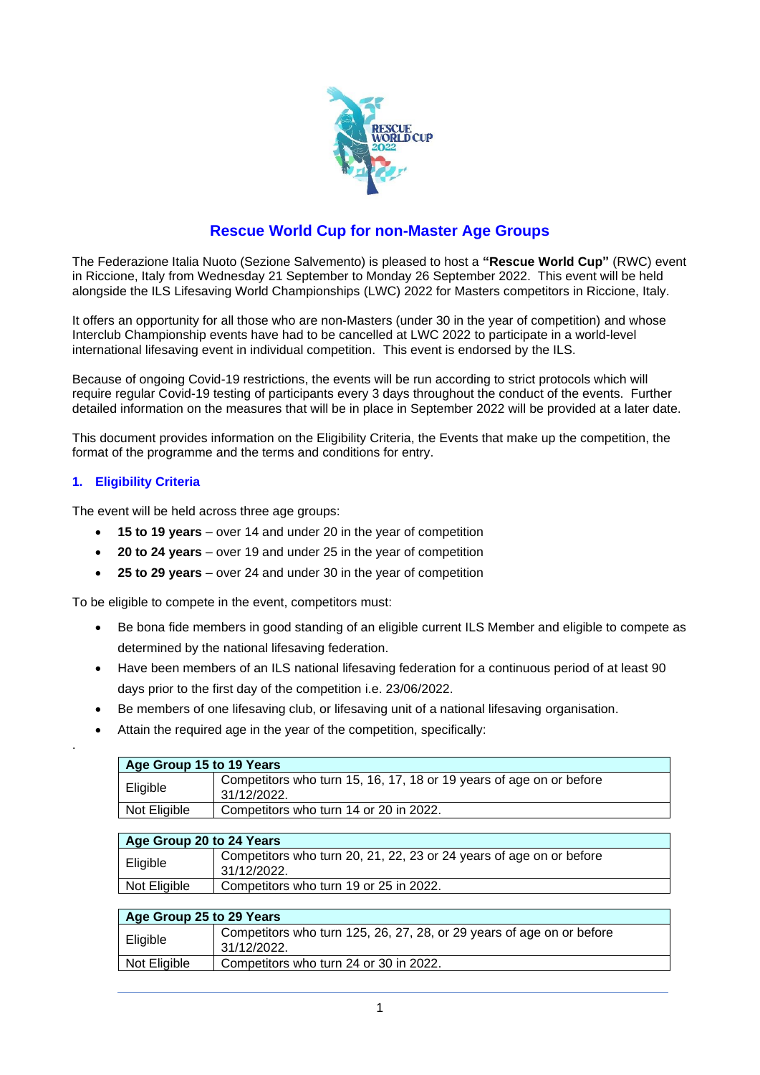

# **Rescue World Cup for non-Master Age Groups**

The Federazione Italia Nuoto (Sezione Salvemento) is pleased to host a **"Rescue World Cup"** (RWC) event in Riccione, Italy from Wednesday 21 September to Monday 26 September 2022. This event will be held alongside the ILS Lifesaving World Championships (LWC) 2022 for Masters competitors in Riccione, Italy.

It offers an opportunity for all those who are non-Masters (under 30 in the year of competition) and whose Interclub Championship events have had to be cancelled at LWC 2022 to participate in a world-level international lifesaving event in individual competition. This event is endorsed by the ILS.

Because of ongoing Covid-19 restrictions, the events will be run according to strict protocols which will require regular Covid-19 testing of participants every 3 days throughout the conduct of the events. Further detailed information on the measures that will be in place in September 2022 will be provided at a later date.

This document provides information on the Eligibility Criteria, the Events that make up the competition, the format of the programme and the terms and conditions for entry.

## **1. Eligibility Criteria**

.

The event will be held across three age groups:

- **15 to 19 years** over 14 and under 20 in the year of competition
- **20 to 24 years** over 19 and under 25 in the year of competition
- **25 to 29 years** over 24 and under 30 in the year of competition

To be eligible to compete in the event, competitors must:

- Be bona fide members in good standing of an eligible current ILS Member and eligible to compete as determined by the national lifesaving federation.
- Have been members of an ILS national lifesaving federation for a continuous period of at least 90 days prior to the first day of the competition i.e. 23/06/2022.
- Be members of one lifesaving club, or lifesaving unit of a national lifesaving organisation.
- Attain the required age in the year of the competition, specifically:

| Age Group 15 to 19 Years |                                                                                    |  |
|--------------------------|------------------------------------------------------------------------------------|--|
| Eligible                 | Competitors who turn 15, 16, 17, 18 or 19 years of age on or before<br>31/12/2022. |  |
| Not Eligible             | Competitors who turn 14 or 20 in 2022.                                             |  |

| Age Group 20 to 24 Years |                                                                                    |  |
|--------------------------|------------------------------------------------------------------------------------|--|
| Eligible                 | Competitors who turn 20, 21, 22, 23 or 24 years of age on or before<br>31/12/2022. |  |
| Not Eligible             | Competitors who turn 19 or 25 in 2022.                                             |  |

| Age Group 25 to 29 Years |                                                                                      |  |
|--------------------------|--------------------------------------------------------------------------------------|--|
| Eligible                 | Competitors who turn 125, 26, 27, 28, or 29 years of age on or before<br>31/12/2022. |  |
| Not Eligible             | Competitors who turn 24 or 30 in 2022.                                               |  |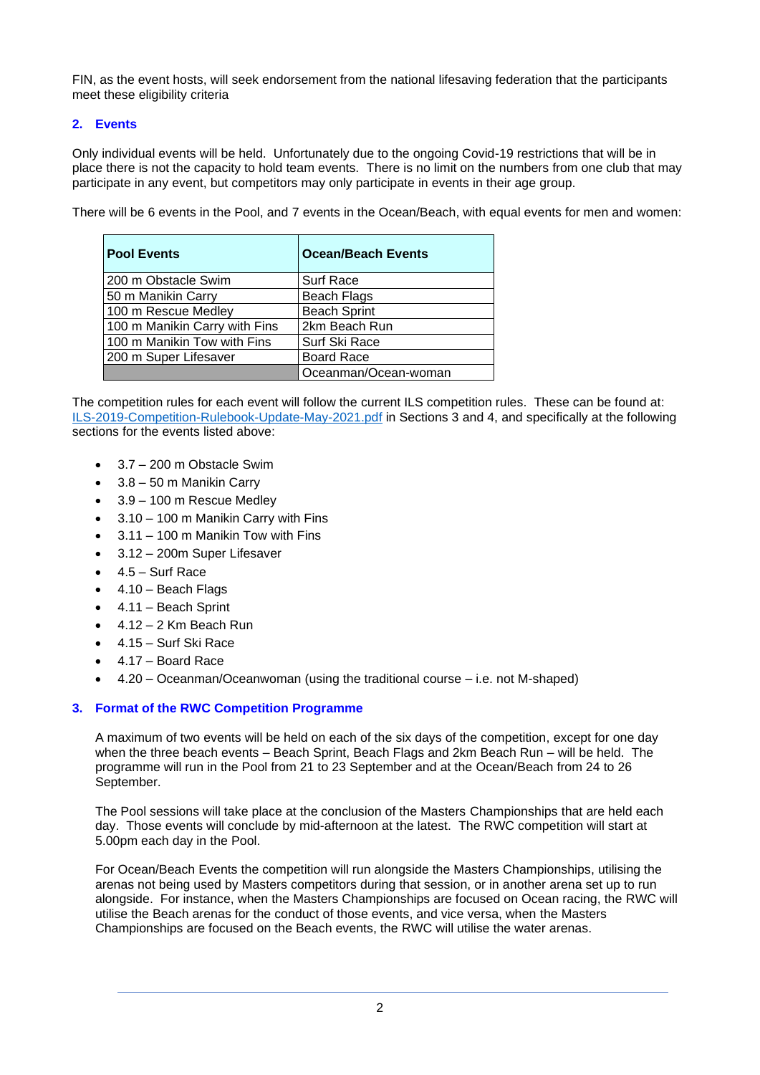FIN, as the event hosts, will seek endorsement from the national lifesaving federation that the participants meet these eligibility criteria

## **2. Events**

Only individual events will be held. Unfortunately due to the ongoing Covid-19 restrictions that will be in place there is not the capacity to hold team events. There is no limit on the numbers from one club that may participate in any event, but competitors may only participate in events in their age group.

There will be 6 events in the Pool, and 7 events in the Ocean/Beach, with equal events for men and women:

| <b>Pool Events</b>            | <b>Ocean/Beach Events</b> |
|-------------------------------|---------------------------|
| 200 m Obstacle Swim           | <b>Surf Race</b>          |
| 50 m Manikin Carry            | <b>Beach Flags</b>        |
| 100 m Rescue Medley           | <b>Beach Sprint</b>       |
| 100 m Manikin Carry with Fins | 2km Beach Run             |
| 100 m Manikin Tow with Fins   | Surf Ski Race             |
| 200 m Super Lifesaver         | <b>Board Race</b>         |
|                               | Oceanman/Ocean-woman      |

The competition rules for each event will follow the current ILS competition rules. These can be found at: [ILS-2019-Competition-Rulebook-Update-May-2021.pdf](https://www.ilsf.org/wp-content/uploads/2021/05/ILS-2019-Competition-Rulebook-Update-Final-March-2021-May-2021-Errata.pdf) in Sections 3 and 4, and specifically at the following sections for the events listed above:

- 3.7 200 m Obstacle Swim
- 3.8 50 m Manikin Carry
- 3.9 100 m Rescue Medley
- 3.10 100 m Manikin Carry with Fins
- 3.11 100 m Manikin Tow with Fins
- 3.12 200m Super Lifesaver
- 4.5 Surf Race
- 4.10 Beach Flags
- 4.11 Beach Sprint
- $\bullet$  4.12 2 Km Beach Run
- 4.15 Surf Ski Race
- 4.17 Board Race
- 4.20 Oceanman/Oceanwoman (using the traditional course i.e. not M-shaped)

## **3. Format of the RWC Competition Programme**

A maximum of two events will be held on each of the six days of the competition, except for one day when the three beach events – Beach Sprint, Beach Flags and 2km Beach Run – will be held. The programme will run in the Pool from 21 to 23 September and at the Ocean/Beach from 24 to 26 September.

The Pool sessions will take place at the conclusion of the Masters Championships that are held each day. Those events will conclude by mid-afternoon at the latest. The RWC competition will start at 5.00pm each day in the Pool.

For Ocean/Beach Events the competition will run alongside the Masters Championships, utilising the arenas not being used by Masters competitors during that session, or in another arena set up to run alongside. For instance, when the Masters Championships are focused on Ocean racing, the RWC will utilise the Beach arenas for the conduct of those events, and vice versa, when the Masters Championships are focused on the Beach events, the RWC will utilise the water arenas.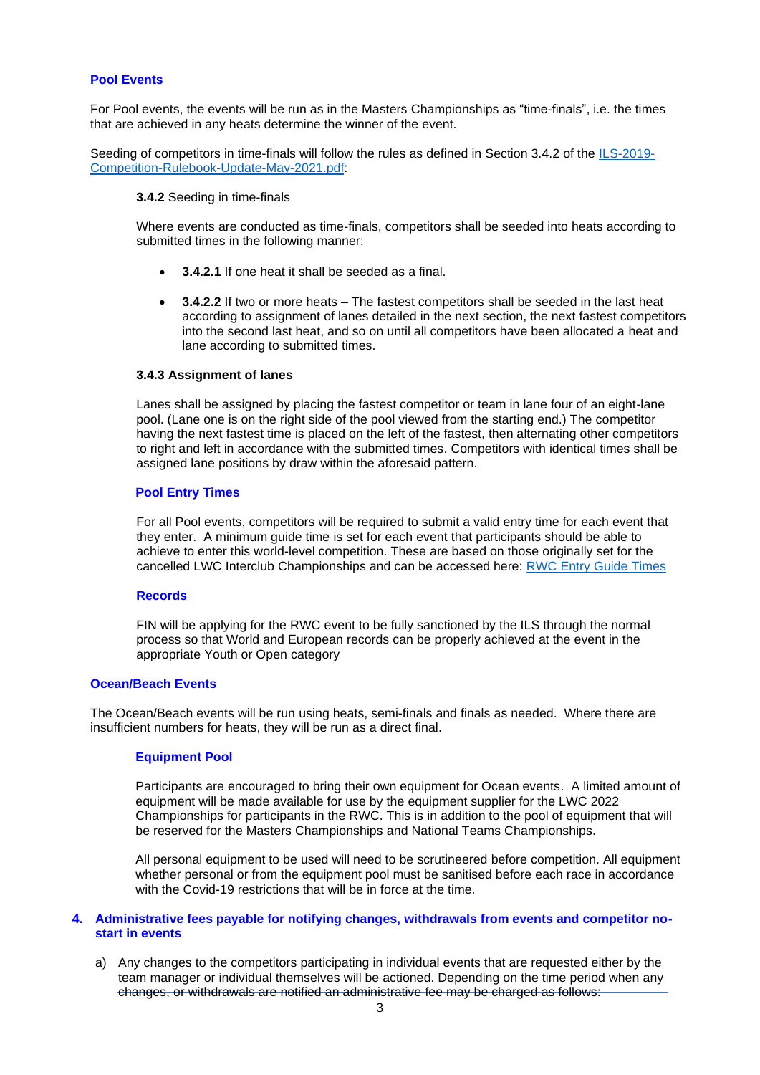#### **Pool Events**

For Pool events, the events will be run as in the Masters Championships as "time-finals", i.e. the times that are achieved in any heats determine the winner of the event.

Seeding of competitors in time-finals will follow the rules as defined in Section 3.4.2 of the [ILS-2019-](https://www.ilsf.org/wp-content/uploads/2021/05/ILS-2019-Competition-Rulebook-Update-Final-March-2021-May-2021-Errata.pdf) [Competition-Rulebook-Update-May-2021.pdf:](https://www.ilsf.org/wp-content/uploads/2021/05/ILS-2019-Competition-Rulebook-Update-Final-March-2021-May-2021-Errata.pdf)

#### **3.4.2** Seeding in time-finals

Where events are conducted as time-finals, competitors shall be seeded into heats according to submitted times in the following manner:

- **3.4.2.1** If one heat it shall be seeded as a final.
- **3.4.2.2** If two or more heats The fastest competitors shall be seeded in the last heat according to assignment of lanes detailed in the next section, the next fastest competitors into the second last heat, and so on until all competitors have been allocated a heat and lane according to submitted times.

#### **3.4.3 Assignment of lanes**

Lanes shall be assigned by placing the fastest competitor or team in lane four of an eight-lane pool. (Lane one is on the right side of the pool viewed from the starting end.) The competitor having the next fastest time is placed on the left of the fastest, then alternating other competitors to right and left in accordance with the submitted times. Competitors with identical times shall be assigned lane positions by draw within the aforesaid pattern.

#### **Pool Entry Times**

For all Pool events, competitors will be required to submit a valid entry time for each event that they enter. A minimum guide time is set for each event that participants should be able to achieve to enter this world-level competition. These are based on those originally set for the cancelled LWC Interclub Championships and can be accessed here: [RWC Entry Guide Times](https://www.ilsf.org/wp-content/uploads/2019/10/Entry-Guide-Times-2020.pdf)

#### **Records**

FIN will be applying for the RWC event to be fully sanctioned by the ILS through the normal process so that World and European records can be properly achieved at the event in the appropriate Youth or Open category

#### **Ocean/Beach Events**

The Ocean/Beach events will be run using heats, semi-finals and finals as needed. Where there are insufficient numbers for heats, they will be run as a direct final.

#### **Equipment Pool**

Participants are encouraged to bring their own equipment for Ocean events. A limited amount of equipment will be made available for use by the equipment supplier for the LWC 2022 Championships for participants in the RWC. This is in addition to the pool of equipment that will be reserved for the Masters Championships and National Teams Championships.

All personal equipment to be used will need to be scrutineered before competition. All equipment whether personal or from the equipment pool must be sanitised before each race in accordance with the Covid-19 restrictions that will be in force at the time.

#### **4. Administrative fees payable for notifying changes, withdrawals from events and competitor nostart in events**

a) Any changes to the competitors participating in individual events that are requested either by the team manager or individual themselves will be actioned. Depending on the time period when any changes, or withdrawals are notified an administrative fee may be charged as follows: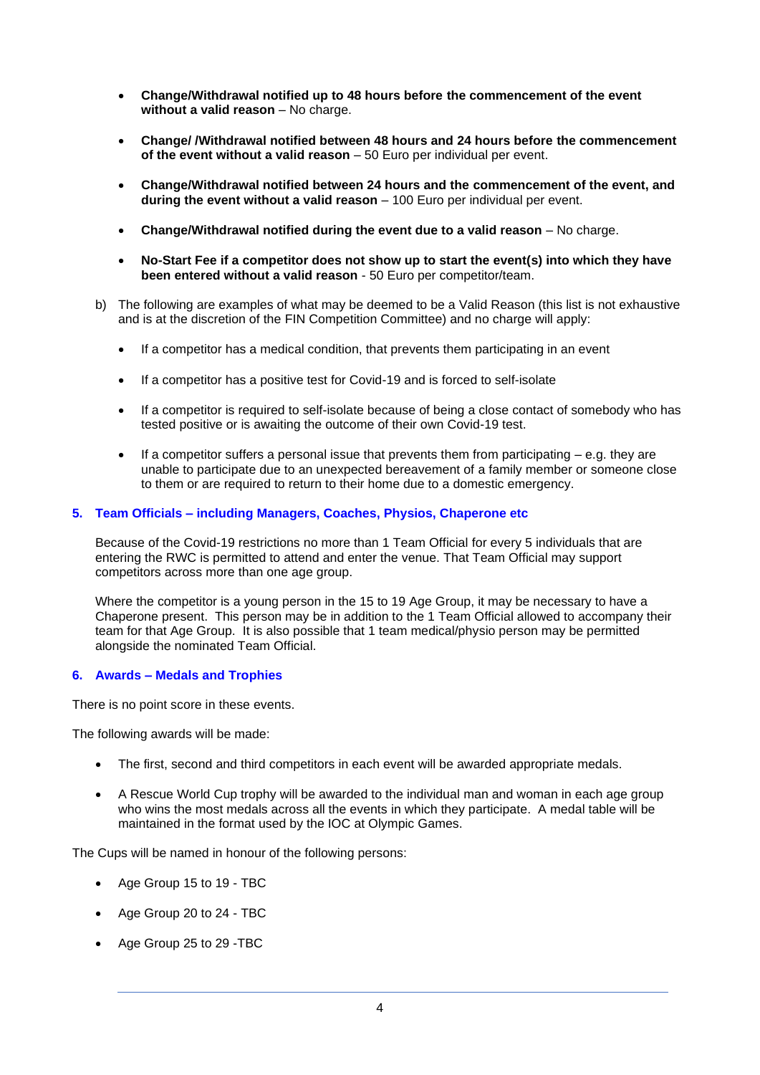- **Change/Withdrawal notified up to 48 hours before the commencement of the event without a valid reason** – No charge.
- **Change/ /Withdrawal notified between 48 hours and 24 hours before the commencement of the event without a valid reason** – 50 Euro per individual per event.
- **Change/Withdrawal notified between 24 hours and the commencement of the event, and during the event without a valid reason** – 100 Euro per individual per event.
- **Change/Withdrawal notified during the event due to a valid reason** No charge.
- **No-Start Fee if a competitor does not show up to start the event(s) into which they have been entered without a valid reason** - 50 Euro per competitor/team.
- b) The following are examples of what may be deemed to be a Valid Reason (this list is not exhaustive and is at the discretion of the FIN Competition Committee) and no charge will apply:
	- If a competitor has a medical condition, that prevents them participating in an event
	- If a competitor has a positive test for Covid-19 and is forced to self-isolate
	- If a competitor is required to self-isolate because of being a close contact of somebody who has tested positive or is awaiting the outcome of their own Covid-19 test.
	- If a competitor suffers a personal issue that prevents them from participating  $-$  e.g. they are unable to participate due to an unexpected bereavement of a family member or someone close to them or are required to return to their home due to a domestic emergency.

### **5. Team Officials – including Managers, Coaches, Physios, Chaperone etc**

Because of the Covid-19 restrictions no more than 1 Team Official for every 5 individuals that are entering the RWC is permitted to attend and enter the venue. That Team Official may support competitors across more than one age group.

Where the competitor is a young person in the 15 to 19 Age Group, it may be necessary to have a Chaperone present. This person may be in addition to the 1 Team Official allowed to accompany their team for that Age Group. It is also possible that 1 team medical/physio person may be permitted alongside the nominated Team Official.

### **6. Awards – Medals and Trophies**

There is no point score in these events.

The following awards will be made:

- The first, second and third competitors in each event will be awarded appropriate medals.
- A Rescue World Cup trophy will be awarded to the individual man and woman in each age group who wins the most medals across all the events in which they participate. A medal table will be maintained in the format used by the IOC at Olympic Games.

The Cups will be named in honour of the following persons:

- Age Group 15 to 19 TBC
- Age Group 20 to 24 TBC
- Age Group 25 to 29 -TBC